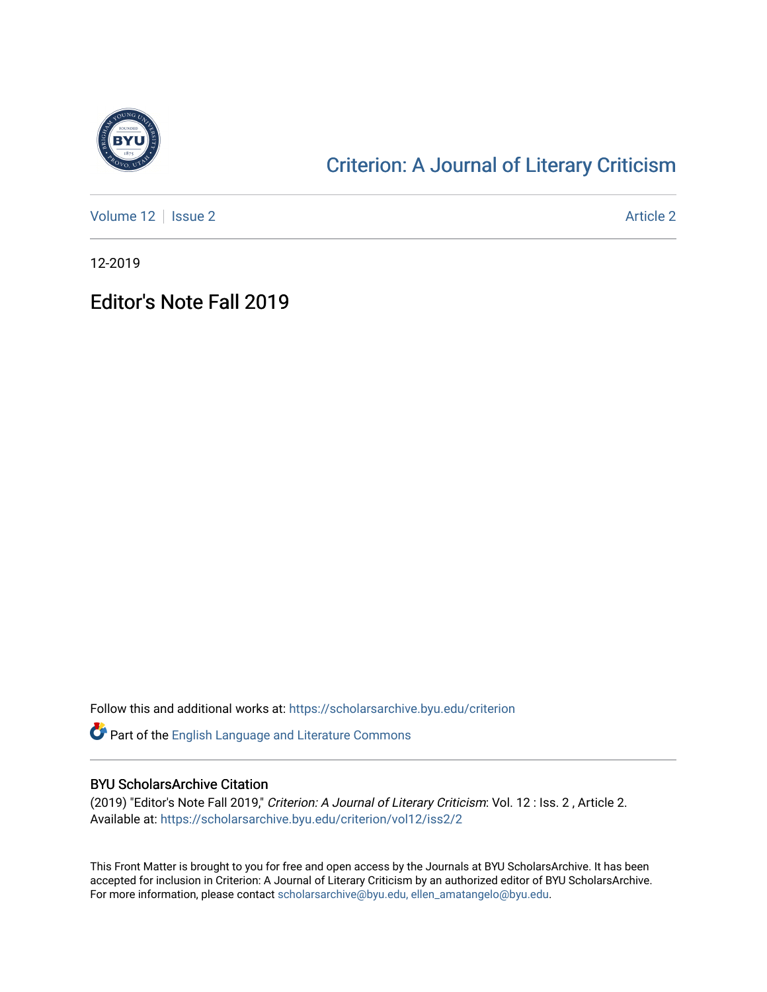

## [Criterion: A Journal of Literary Criticism](https://scholarsarchive.byu.edu/criterion)

[Volume 12](https://scholarsarchive.byu.edu/criterion/vol12) | [Issue 2](https://scholarsarchive.byu.edu/criterion/vol12/iss2) Article 2

12-2019

## Editor's Note Fall 2019

Follow this and additional works at: [https://scholarsarchive.byu.edu/criterion](https://scholarsarchive.byu.edu/criterion?utm_source=scholarsarchive.byu.edu%2Fcriterion%2Fvol12%2Fiss2%2F2&utm_medium=PDF&utm_campaign=PDFCoverPages) 

Part of the [English Language and Literature Commons](http://network.bepress.com/hgg/discipline/455?utm_source=scholarsarchive.byu.edu%2Fcriterion%2Fvol12%2Fiss2%2F2&utm_medium=PDF&utm_campaign=PDFCoverPages)

## BYU ScholarsArchive Citation

(2019) "Editor's Note Fall 2019," Criterion: A Journal of Literary Criticism: Vol. 12 : Iss. 2 , Article 2. Available at: [https://scholarsarchive.byu.edu/criterion/vol12/iss2/2](https://scholarsarchive.byu.edu/criterion/vol12/iss2/2?utm_source=scholarsarchive.byu.edu%2Fcriterion%2Fvol12%2Fiss2%2F2&utm_medium=PDF&utm_campaign=PDFCoverPages)

This Front Matter is brought to you for free and open access by the Journals at BYU ScholarsArchive. It has been accepted for inclusion in Criterion: A Journal of Literary Criticism by an authorized editor of BYU ScholarsArchive. For more information, please contact [scholarsarchive@byu.edu, ellen\\_amatangelo@byu.edu](mailto:scholarsarchive@byu.edu,%20ellen_amatangelo@byu.edu).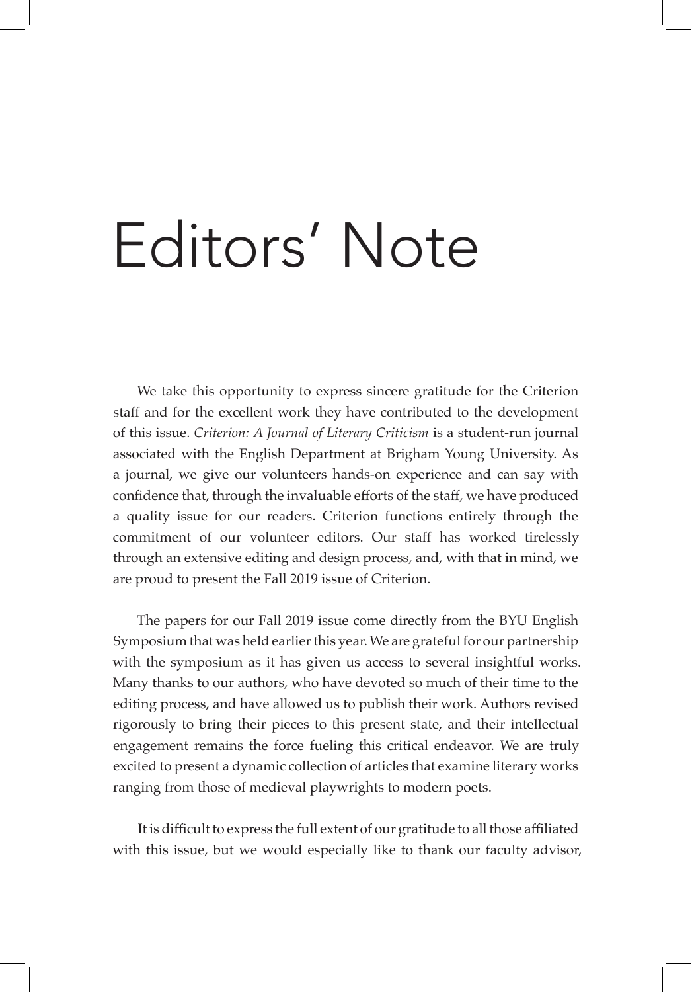## Editors' Note

We take this opportunity to express sincere gratitude for the Criterion staff and for the excellent work they have contributed to the development of this issue. *Criterion: A Journal of Literary Criticism* is a student-run journal associated with the English Department at Brigham Young University. As a journal, we give our volunteers hands-on experience and can say with confidence that, through the invaluable efforts of the staff, we have produced a quality issue for our readers. Criterion functions entirely through the commitment of our volunteer editors. Our staff has worked tirelessly through an extensive editing and design process, and, with that in mind, we are proud to present the Fall 2019 issue of Criterion.

The papers for our Fall 2019 issue come directly from the BYU English Symposium that was held earlier this year. We are grateful for our partnership with the symposium as it has given us access to several insightful works. Many thanks to our authors, who have devoted so much of their time to the editing process, and have allowed us to publish their work. Authors revised rigorously to bring their pieces to this present state, and their intellectual engagement remains the force fueling this critical endeavor. We are truly excited to present a dynamic collection of articles that examine literary works ranging from those of medieval playwrights to modern poets.

It is difficult to express the full extent of our gratitude to all those affiliated with this issue, but we would especially like to thank our faculty advisor,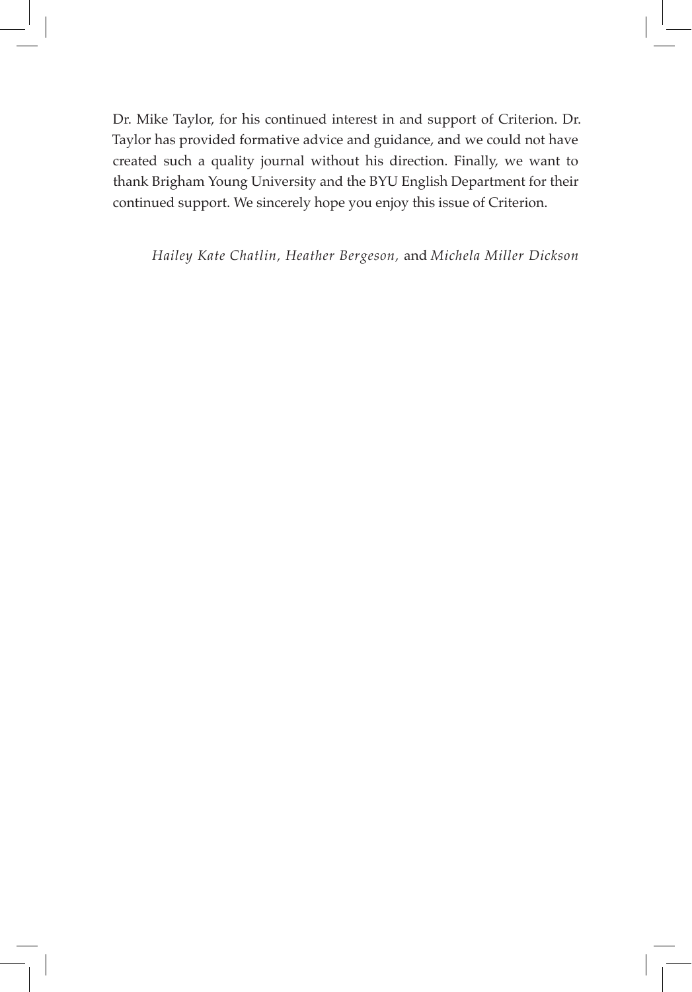Dr. Mike Taylor, for his continued interest in and support of Criterion. Dr. Taylor has provided formative advice and guidance, and we could not have created such a quality journal without his direction. Finally, we want to thank Brigham Young University and the BYU English Department for their continued support. We sincerely hope you enjoy this issue of Criterion.

*Hailey Kate Chatlin, Heather Bergeson,* and *Michela Miller Dickson*